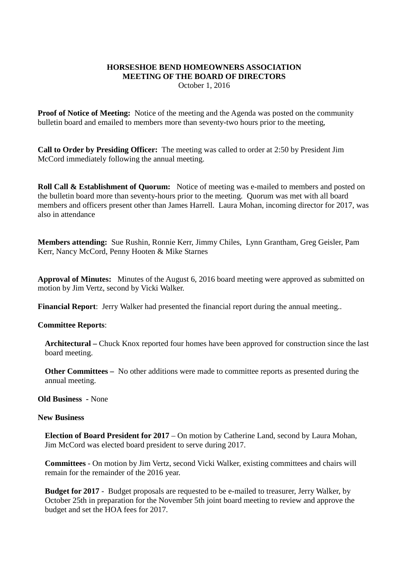## **HORSESHOE BEND HOMEOWNERS ASSOCIATION MEETING OF THE BOARD OF DIRECTORS**

October 1, 2016

**Proof of Notice of Meeting:** Notice of the meeting and the Agenda was posted on the community bulletin board and emailed to members more than seventy-two hours prior to the meeting,

**Call to Order by Presiding Officer:** The meeting was called to order at 2:50 by President Jim McCord immediately following the annual meeting.

**Roll Call & Establishment of Quorum:** Notice of meeting was e-mailed to members and posted on the bulletin board more than seventy-hours prior to the meeting. Quorum was met with all board members and officers present other than James Harrell. Laura Mohan, incoming director for 2017, was also in attendance

**Members attending:** Sue Rushin, Ronnie Kerr, Jimmy Chiles, Lynn Grantham, Greg Geisler, Pam Kerr, Nancy McCord, Penny Hooten & Mike Starnes

**Approval of Minutes:** Minutes of the August 6, 2016 board meeting were approved as submitted on motion by Jim Vertz, second by Vicki Walker.

**Financial Report**: Jerry Walker had presented the financial report during the annual meeting..

## **Committee Reports**:

**Architectural –** Chuck Knox reported four homes have been approved for construction since the last board meeting.

**Other Committees –** No other additions were made to committee reports as presented during the annual meeting.

**Old Business -** None

## **New Business**

**Election of Board President for 2017** – On motion by Catherine Land, second by Laura Mohan, Jim McCord was elected board president to serve during 2017.

**Committees** - On motion by Jim Vertz, second Vicki Walker, existing committees and chairs will remain for the remainder of the 2016 year.

**Budget for 2017** - Budget proposals are requested to be e-mailed to treasurer, Jerry Walker, by October 25th in preparation for the November 5th joint board meeting to review and approve the budget and set the HOA fees for 2017.